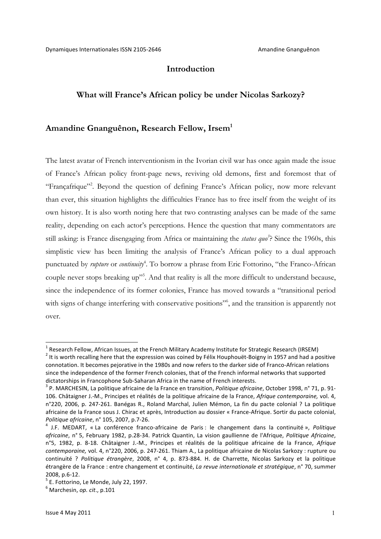## **Introduction**

### **What will France's African policy be under Nicolas Sarkozy?**

### **Amandine Gnanguênon, Research Fellow, Irsem1**

The latest avatar of French interventionism in the Ivorian civil war has once again made the issue of France's African policy front-page news, reviving old demons, first and foremost that of "Françafrique"<sup>2</sup>. Beyond the question of defining France's African policy, now more relevant than ever, this situation highlights the difficulties France has to free itself from the weight of its own history. It is also worth noting here that two contrasting analyses can be made of the same reality, depending on each actor's perceptions. Hence the question that many commentators are still asking: is France disengaging from Africa or maintaining the *status quo*<sup>2</sup>? Since the 1960s, this simplistic view has been limiting the analysis of France's African policy to a dual approach punctuated by *rupture* or *continuity*<sup>4</sup>. To borrow a phrase from Eric Fottorino, "the Franco-African couple never stops breaking up"<sup>5</sup>. And that reality is all the more difficult to understand because, since the independence of its former colonies, France has moved towards a "transitional period with signs of change interfering with conservative positions", and the transition is apparently not over.

 $1$  Research Fellow, African Issues, at the French Military Academy Institute for Strategic Research (IRSEM)  $2$  It is worth recalling here that the expression was coined by Félix Houphouët-Boigny in 1957 and had a positive connotation. It becomes pejorative in the 1980s and now refers to the darker side of Franco-African relations since the independence of the former French colonies, that of the French informal networks that supported dictatorships in Francophone Sub-Saharan Africa in the name of French interests.<br><sup>3</sup> P. MARCHESIN, La politique africaine de la France en transition, *Politique africaine*, October 1998, n° 71, p. 91-

<sup>106.</sup> Châtaigner J.-M., Principes et réalités de la politique africaine de la France, *Afrique contemporaine*, vol. 4, n°220, 2006, p. 247-261. Banégas R., Roland Marchal, Julien Mémon, La fin du pacte colonial ? La politique africaine de la France sous J. Chirac et après, Introduction au dossier « France-Afrique. Sortir du pacte colonial, *Politique africaine*, n° 105, 2007, p.7-26.<br><sup>4</sup> J.F. MEDART, « La conférence franco-africaine de Paris : le changement dans la continuité », *Politique* 

africaine, n° 5, February 1982, p.28-34. Patrick Quantin, La vision gaullienne de l'Afrique, Politique Africaine, n°5, 1982, p. 8-18. Châtaigner J.-M., Principes et réalités de la politique africaine de la France, Afrique *contemporaine,* vol. 4, n°220, 2006, p. 247-261. Thiam A., La politique africaine de Nicolas Sarkozy : rupture ou continuité ? Politique étrangère, 2008, n° 4, p. 873-884. H. de Charrette, Nicolas Sarkozy et la politique étrangère de la France : entre changement et continuité, *La revue internationale et stratégique*, n° 70, summer 2008, p.6-12.<br><sup>5</sup> E. Fottorino, Le Monde, July 22, 1997.<br><sup>6</sup> Marchesin, *op. cit.*, p.101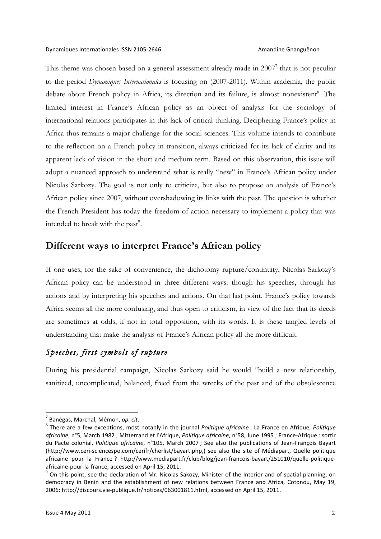This theme was chosen based on a general assessment already made in 2007<sup>7</sup> that is not peculiar to the period *Dynamiques Internationales* is focusing on (2007-2011). Within academia, the public debate about French policy in Africa, its direction and its failure, is almost nonexistent<sup>8</sup>. The limited interest in France's African policy as an object of analysis for the sociology of international relations participates in this lack of critical thinking. Deciphering France's policy in Africa thus remains a major challenge for the social sciences. This volume intends to contribute to the reflection on a French policy in transition, always criticized for its lack of clarity and its apparent lack of vision in the short and medium term. Based on this observation, this issue will adopt a nuanced approach to understand what is really "new" in France's African policy under Nicolas Sarkozy. The goal is not only to criticize, but also to propose an analysis of France's African policy since 2007, without overshadowing its links with the past. The question is whether the French President has today the freedom of action necessary to implement a policy that was intended to break with the past $\degree$ .

# **Different ways to interpret France's African policy**

If one uses, for the sake of convenience, the dichotomy rupture/continuity, Nicolas Sarkozy's African policy can be understood in three different ways: though his speeches, through his actions and by interpreting his speeches and actions. On that last point, France's policy towards Africa seems all the more confusing, and thus open to criticism, in view of the fact that its deeds are sometimes at odds, if not in total opposition, with its words. It is these tangled levels of understanding that make the analysis of France's African policy all the more difficult.

# *Speeches, first symbols of rupture*

During his presidential campaign, Nicolas Sarkozy said he would "build a new relationship, sanitized, uncomplicated, balanced, freed from the wrecks of the past and of the obsolescence

<sup>&</sup>lt;sup>7</sup> Banégas, Marchal, Mémon, *op. cit*.<br><sup>8</sup> There are a few exceptions, most notably in the journal *Politique africaine* : La France en Afrique, *Politique* africaine, n°5, March 1982 ; Mitterrand et l'Afrique, *Politique africaine*, n°58, June 1995 ; France-Afrique : sortir du Pacte colonial, *Politique africaine*, n°105, March 2007 ; See also the publications of Jean-François Bayart (http://www.ceri-sciencespo.com/cerifr/cherlist/bayart.php,) see also the site of Médiapart, Quelle politique africaine pour la France ? http://www.mediapart.fr/club/blog/jean-francois-bayart/251010/quelle-politiqueafricaine-pour-la-france, accessed on April 15, 2011.<br><sup>9</sup> On this point, see the declaration of Mr. Nicolas Sakozy, Minister of the Interior and of spatial planning, on

democracy in Benin and the establishment of new relations between France and Africa, Cotonou, May 19, 2006: http://discours.vie-publique.fr/notices/063001811.html, accessed on April 15, 2011.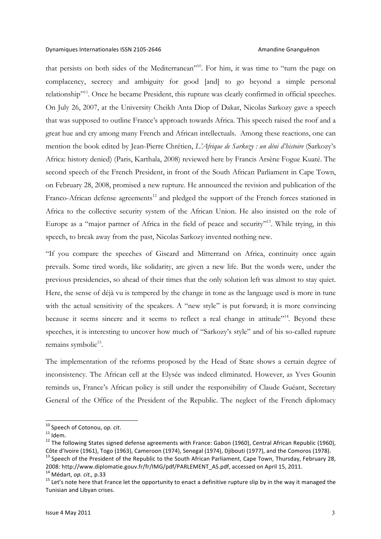that persists on both sides of the Mediterranean"10. For him, it was time to "turn the page on complacency, secrecy and ambiguity for good [and] to go beyond a simple personal relationship<sup>"11</sup>. Once he became President, this rupture was clearly confirmed in official speeches. On July 26, 2007, at the University Cheikh Anta Diop of Dakar, Nicolas Sarkozy gave a speech that was supposed to outline France's approach towards Africa. This speech raised the roof and a great hue and cry among many French and African intellectuals. Among these reactions, one can mention the book edited by Jean-Pierre Chrétien, *L'Afrique de Sarkozy : un déni d'histoire* (Sarkozy's Africa: history denied) (Paris, Karthala, 2008) reviewed here by Francis Arsène Fogue Kuaté. The second speech of the French President, in front of the South African Parliament in Cape Town, on February 28, 2008, promised a new rupture. He announced the revision and publication of the Franco-African defense agreements<sup>12</sup> and pledged the support of the French forces stationed in Africa to the collective security system of the African Union. He also insisted on the role of Europe as a "major partner of Africa in the field of peace and security"<sup>13</sup>. While trying, in this speech, to break away from the past, Nicolas Sarkozy invented nothing new.

"If you compare the speeches of Giscard and Mitterrand on Africa, continuity once again prevails. Some tired words, like solidarity, are given a new life. But the words were, under the previous presidencies, so ahead of their times that the only solution left was almost to stay quiet. Here, the sense of déjà vu is tempered by the change in tone as the language used is more in tune with the actual sensitivity of the speakers. A "new style" is put forward; it is more convincing because it seems sincere and it seems to reflect a real change in attitude"<sup>14</sup>. Beyond these speeches, it is interesting to uncover how much of "Sarkozy's style" and of his so-called rupture remains symbolic<sup>15</sup>.

The implementation of the reforms proposed by the Head of State shows a certain degree of inconsistency. The African cell at the Elysée was indeed eliminated. However, as Yves Gounin reminds us, France's African policy is still under the responsibility of Claude Guéant, Secretary General of the Office of the President of the Republic. The neglect of the French diplomacy

<sup>&</sup>lt;sup>10</sup> Speech of Cotonou, *op. cit.*<br><sup>11</sup> Idem.<br><sup>12</sup> The following States signed defense agreements with France: Gabon (1960), Central African Republic (1960), Côte d'Ivoire (1961), Togo (1963), Cameroon (1974), Senegal (1974), Djibouti (1977), and the Comoros (1978).<br><sup>13</sup> Speech of the President of the Republic to the South African Parliament, Cape Town, Thursday, February 28,

<sup>2008:</sup> http://www.diplomatie.gouv.fr/fr/IMG/pdf/PARLEMENT\_AS.pdf, accessed on April 15, 2011.<br><sup>14</sup> Médart, op. cit., p.33<br><sup>15</sup> Let's note here that France let the opportunity to enact a definitive rupture slip by in the wa

Tunisian and Libyan crises.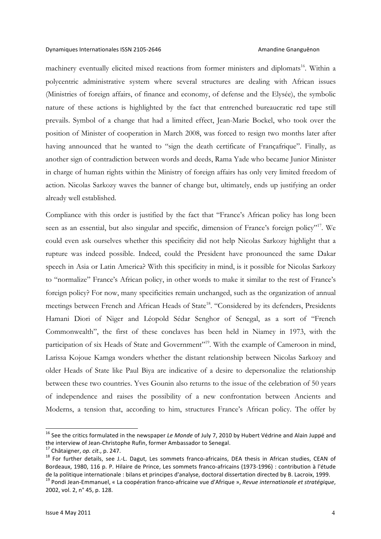### Dynamiques Internationales ISSN 2105-2646 Amandine Gnanguênon

machinery eventually elicited mixed reactions from former ministers and diplomats<sup>16</sup>. Within a polycentric administrative system where several structures are dealing with African issues (Ministries of foreign affairs, of finance and economy, of defense and the Elysée), the symbolic nature of these actions is highlighted by the fact that entrenched bureaucratic red tape still prevails. Symbol of a change that had a limited effect, Jean-Marie Bockel, who took over the position of Minister of cooperation in March 2008, was forced to resign two months later after having announced that he wanted to "sign the death certificate of Françafrique". Finally, as another sign of contradiction between words and deeds, Rama Yade who became Junior Minister in charge of human rights within the Ministry of foreign affairs has only very limited freedom of action. Nicolas Sarkozy waves the banner of change but, ultimately, ends up justifying an order already well established.

Compliance with this order is justified by the fact that "France's African policy has long been seen as an essential, but also singular and specific, dimension of France's foreign policy"<sup>17</sup>. We could even ask ourselves whether this specificity did not help Nicolas Sarkozy highlight that a rupture was indeed possible. Indeed, could the President have pronounced the same Dakar speech in Asia or Latin America? With this specificity in mind, is it possible for Nicolas Sarkozy to "normalize" France's African policy, in other words to make it similar to the rest of France's foreign policy? For now, many specificities remain unchanged, such as the organization of annual meetings between French and African Heads of State<sup>18</sup>. "Considered by its defenders, Presidents Hamani Diori of Niger and Léopold Sédar Senghor of Senegal, as a sort of "French Commonwealth", the first of these conclaves has been held in Niamey in 1973, with the participation of six Heads of State and Government"<sup>19</sup>. With the example of Cameroon in mind, Larissa Kojoue Kamga wonders whether the distant relationship between Nicolas Sarkozy and older Heads of State like Paul Biya are indicative of a desire to depersonalize the relationship between these two countries. Yves Gounin also returns to the issue of the celebration of 50 years of independence and raises the possibility of a new confrontation between Ancients and Moderns, a tension that, according to him, structures France's African policy. The offer by

<sup>&</sup>lt;sup>16</sup> See the critics formulated in the newspaper *Le Monde* of July 7, 2010 by Hubert Védrine and Alain Juppé and the interview of Jean-Christophe Rufin, former Ambassador to Senegal.

<sup>&</sup>lt;sup>17</sup> Châtaigner, op. cit., p. 247.<br><sup>18</sup> For further details, see J.-L. Dagut, Les sommets franco-africains, DEA thesis in African studies, CEAN of Bordeaux, 1980, 116 p. P. Hilaire de Prince, Les sommets franco-africains (1973-1996) : contribution à l'étude de la politique internationale : bilans et principes d'analyse, doctoral dissertation directed by B. Lacroix, 1999.

<sup>&</sup>lt;sup>19</sup> Pondi Jean-Emmanuel, « La coopération franco-africaine vue d'Afrique », *Revue internationale et stratégique*, 2002, vol. 2, n° 45, p. 128.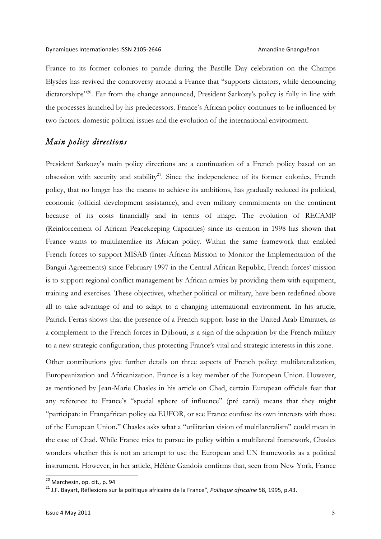France to its former colonies to parade during the Bastille Day celebration on the Champs Elysées has revived the controversy around a France that "supports dictators, while denouncing dictatorships"<sup>20</sup>. Far from the change announced, President Sarkozy's policy is fully in line with the processes launched by his predecessors. France's African policy continues to be influenced by two factors: domestic political issues and the evolution of the international environment.

## *Main policy directions*

President Sarkozy's main policy directions are a continuation of a French policy based on an obsession with security and stability<sup>21</sup>. Since the independence of its former colonies, French policy, that no longer has the means to achieve its ambitions, has gradually reduced its political, economic (official development assistance), and even military commitments on the continent because of its costs financially and in terms of image. The evolution of RECAMP (Reinforcement of African Peacekeeping Capacities) since its creation in 1998 has shown that France wants to multilateralize its African policy. Within the same framework that enabled French forces to support MISAB (Inter-African Mission to Monitor the Implementation of the Bangui Agreements) since February 1997 in the Central African Republic, French forces' mission is to support regional conflict management by African armies by providing them with equipment, training and exercises. These objectives, whether political or military, have been redefined above all to take advantage of and to adapt to a changing international environment. In his article, Patrick Ferras shows that the presence of a French support base in the United Arab Emirates, as a complement to the French forces in Djibouti, is a sign of the adaptation by the French military to a new strategic configuration, thus protecting France's vital and strategic interests in this zone.

Other contributions give further details on three aspects of French policy: multilateralization, Europeanization and Africanization. France is a key member of the European Union. However, as mentioned by Jean-Marie Chasles in his article on Chad, certain European officials fear that any reference to France's "special sphere of influence" (pré carré) means that they might "participate in Françafrican policy *via* EUFOR, or see France confuse its own interests with those of the European Union." Chasles asks what a "utilitarian vision of multilateralism" could mean in the case of Chad. While France tries to pursue its policy within a multilateral framework, Chasles wonders whether this is not an attempt to use the European and UN frameworks as a political instrument. However, in her article, Hélène Gandois confirms that, seen from New York, France

<sup>&</sup>lt;sup>20</sup> Marchesin, op. cit., p. 94<br><sup>21</sup> J.F. Bayart, Réflexions sur la politique africaine de la France", *Politique africaine* 58, 1995, p.43.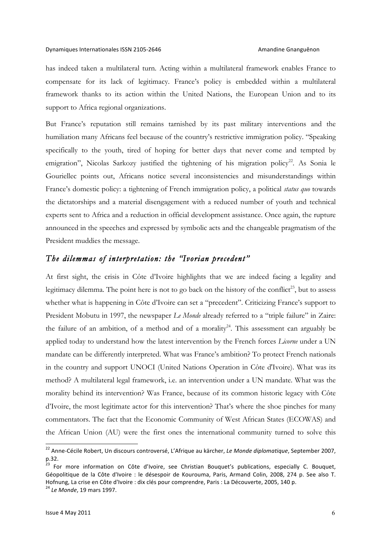has indeed taken a multilateral turn. Acting within a multilateral framework enables France to compensate for its lack of legitimacy. France's policy is embedded within a multilateral framework thanks to its action within the United Nations, the European Union and to its support to Africa regional organizations.

But France's reputation still remains tarnished by its past military interventions and the humiliation many Africans feel because of the country's restrictive immigration policy. "Speaking specifically to the youth, tired of hoping for better days that never come and tempted by emigration", Nicolas Sarkozy justified the tightening of his migration policy<sup>22</sup>. As Sonia le Gouriellec points out, Africans notice several inconsistencies and misunderstandings within France's domestic policy: a tightening of French immigration policy, a political *status quo* towards the dictatorships and a material disengagement with a reduced number of youth and technical experts sent to Africa and a reduction in official development assistance. Once again, the rupture announced in the speeches and expressed by symbolic acts and the changeable pragmatism of the President muddies the message.

### *The dilemmas of interpretation: the "Ivorian precedent"*

At first sight, the crisis in Côte d'Ivoire highlights that we are indeed facing a legality and legitimacy dilemma. The point here is not to go back on the history of the conflict<sup>23</sup>, but to assess whether what is happening in Côte d'Ivoire can set a "precedent". Criticizing France's support to President Mobutu in 1997, the newspaper *Le Monde* already referred to a "triple failure" in Zaire: the failure of an ambition, of a method and of a morality<sup>24</sup>. This assessment can arguably be applied today to understand how the latest intervention by the French forces *Licorne* under a UN mandate can be differently interpreted. What was France's ambition? To protect French nationals in the country and support UNOCI (United Nations Operation in Côte d'Ivoire). What was its method? A multilateral legal framework, i.e. an intervention under a UN mandate. What was the morality behind its intervention? Was France, because of its common historic legacy with Côte d'Ivoire, the most legitimate actor for this intervention? That's where the shoe pinches for many commentators. The fact that the Economic Community of West African States (ECOWAS) and the African Union (AU) were the first ones the international community turned to solve this

<sup>&</sup>lt;sup>22</sup> Anne-Cécile Robert, Un discours controversé, L'Afrique au kärcher, Le Monde diplomatique, September 2007, p.32. 

<sup>&</sup>lt;sup>23</sup> For more information on Côte d'Ivoire, see Christian Bouquet's publications, especially C. Bouquet, Géopolitique de la Côte d'Ivoire : le désespoir de Kourouma, Paris, Armand Colin, 2008, 274 p. See also T. Hofnung, La crise en Côte d'Ivoire : dix clés pour comprendre, Paris : La Découverte, 2005, 140 p.

<sup>&</sup>lt;sup>24</sup> *Le Monde*, 19 mars 1997.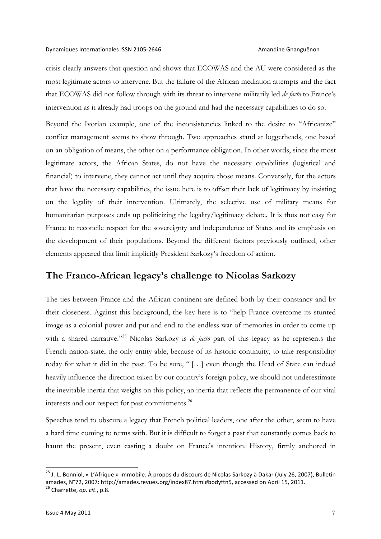### Dynamiques Internationales ISSN 2105-2646 Amandine Gnanguênon

crisis clearly answers that question and shows that ECOWAS and the AU were considered as the most legitimate actors to intervene. But the failure of the African mediation attempts and the fact that ECOWAS did not follow through with its threat to intervene militarily led *de facto* to France's intervention as it already had troops on the ground and had the necessary capabilities to do so.

Beyond the Ivorian example, one of the inconsistencies linked to the desire to "Africanize" conflict management seems to show through. Two approaches stand at loggerheads, one based on an obligation of means, the other on a performance obligation. In other words, since the most legitimate actors, the African States, do not have the necessary capabilities (logistical and financial) to intervene, they cannot act until they acquire those means. Conversely, for the actors that have the necessary capabilities, the issue here is to offset their lack of legitimacy by insisting on the legality of their intervention. Ultimately, the selective use of military means for humanitarian purposes ends up politicizing the legality/legitimacy debate. It is thus not easy for France to reconcile respect for the sovereignty and independence of States and its emphasis on the development of their populations. Beyond the different factors previously outlined, other elements appeared that limit implicitly President Sarkozy's freedom of action.

# **The Franco-African legacy's challenge to Nicolas Sarkozy**

The ties between France and the African continent are defined both by their constancy and by their closeness. Against this background, the key here is to "help France overcome its stunted image as a colonial power and put and end to the endless war of memories in order to come up with a shared narrative."25 Nicolas Sarkozy is *de facto* part of this legacy as he represents the French nation-state, the only entity able, because of its historic continuity, to take responsibility today for what it did in the past. To be sure, " […] even though the Head of State can indeed heavily influence the direction taken by our country's foreign policy, we should not underestimate the inevitable inertia that weighs on this policy, an inertia that reflects the permanence of our vital interests and our respect for past commitments.<sup>26</sup>

Speeches tend to obscure a legacy that French political leaders, one after the other, seem to have a hard time coming to terms with. But it is difficult to forget a past that constantly comes back to haunt the present, even casting a doubt on France's intention. History, firmly anchored in

<sup>&</sup>lt;sup>25</sup> J.-L. Bonniol, « L'Afrique » immobile. À propos du discours de Nicolas Sarkozy à Dakar (July 26, 2007), Bulletin amades, N°72, 2007: http://amades.revues.org/index87.html#bodyftn5, accessed on April 15, 2011.<br><sup>26</sup> Charrette, *op. cit.*, p.8.